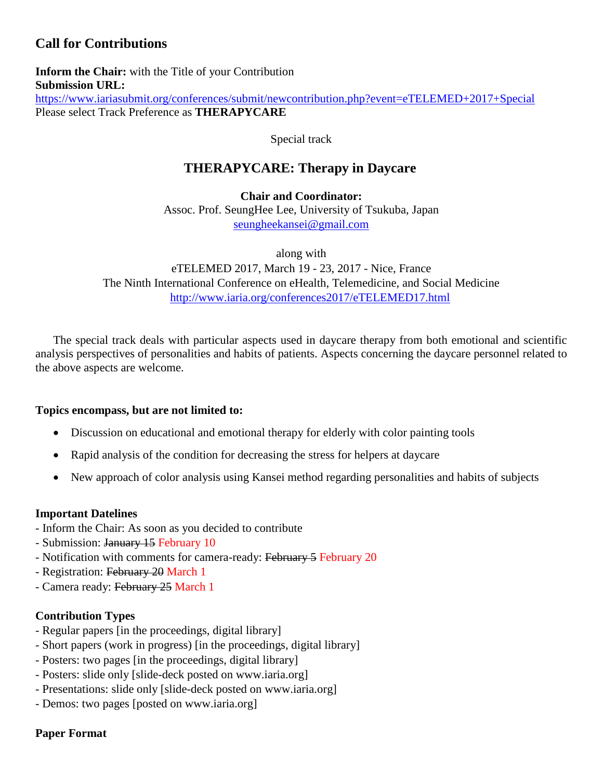# **Call for Contributions**

**Inform the Chair:** with the Title of your Contribution **Submission URL:** <https://www.iariasubmit.org/conferences/submit/newcontribution.php?event=eTELEMED+2017+Special> Please select Track Preference as **THERAPYCARE**

Special track

## **THERAPYCARE: Therapy in Daycare**

**Chair and Coordinator:** Assoc. Prof. SeungHee Lee, University of Tsukuba, Japan [seungheekansei@gmail.com](mailto:seungheekansei@gmail.com)

along with eTELEMED 2017, March 19 - 23, 2017 - Nice, France The Ninth International Conference on eHealth, Telemedicine, and Social Medicine <http://www.iaria.org/conferences2017/eTELEMED17.html>

The special track deals with particular aspects used in daycare therapy from both emotional and scientific analysis perspectives of personalities and habits of patients. Aspects concerning the daycare personnel related to the above aspects are welcome.

### **Topics encompass, but are not limited to:**

- Discussion on educational and emotional therapy for elderly with color painting tools
- Rapid analysis of the condition for decreasing the stress for helpers at daycare
- New approach of color analysis using Kansei method regarding personalities and habits of subjects

#### **Important Datelines**

- Inform the Chair: As soon as you decided to contribute
- Submission: January 15 February 10
- Notification with comments for camera-ready: February 5 February 20
- Registration: February 20 March 1
- Camera ready: February 25 March 1

### **Contribution Types**

- Regular papers [in the proceedings, digital library]
- Short papers (work in progress) [in the proceedings, digital library]
- Posters: two pages [in the proceedings, digital library]
- Posters: slide only [slide-deck posted on www.iaria.org]
- Presentations: slide only [slide-deck posted on www.iaria.org]
- Demos: two pages [posted on www.iaria.org]

### **Paper Format**